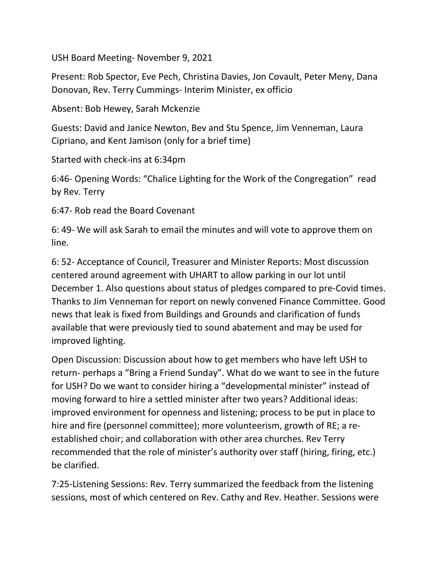USH Board Meeting- November 9, 2021

Present: Rob Spector, Eve Pech, Christina Davies, Jon Covault, Peter Meny, Dana Donovan, Rev. Terry Cummings- Interim Minister, ex officio

Absent: Bob Hewey, Sarah Mckenzie

Guests: David and Janice Newton, Bev and Stu Spence, Jim Venneman, Laura Cipriano, and Kent Jamison (only for a brief time)

Started with check-ins at 6:34pm

6:46- Opening Words: "Chalice Lighting for the Work of the Congregation" read by Rev. Terry

6:47- Rob read the Board Covenant

6: 49- We will ask Sarah to email the minutes and will vote to approve them on line.

6: 52- Acceptance of Council, Treasurer and Minister Reports: Most discussion centered around agreement with UHART to allow parking in our lot until December 1. Also questions about status of pledges compared to pre-Covid times. Thanks to Jim Venneman for report on newly convened Finance Committee. Good news that leak is fixed from Buildings and Grounds and clarification of funds available that were previously tied to sound abatement and may be used for improved lighting.

Open Discussion: Discussion about how to get members who have left USH to return- perhaps a "Bring a Friend Sunday". What do we want to see in the future for USH? Do we want to consider hiring a "developmental minister" instead of moving forward to hire a settled minister after two years? Additional ideas: improved environment for openness and listening; process to be put in place to hire and fire (personnel committee); more volunteerism, growth of RE; a reestablished choir; and collaboration with other area churches. Rev Terry recommended that the role of minister's authority over staff (hiring, firing, etc.) be clarified.

7:25-Listening Sessions: Rev. Terry summarized the feedback from the listening sessions, most of which centered on Rev. Cathy and Rev. Heather. Sessions were